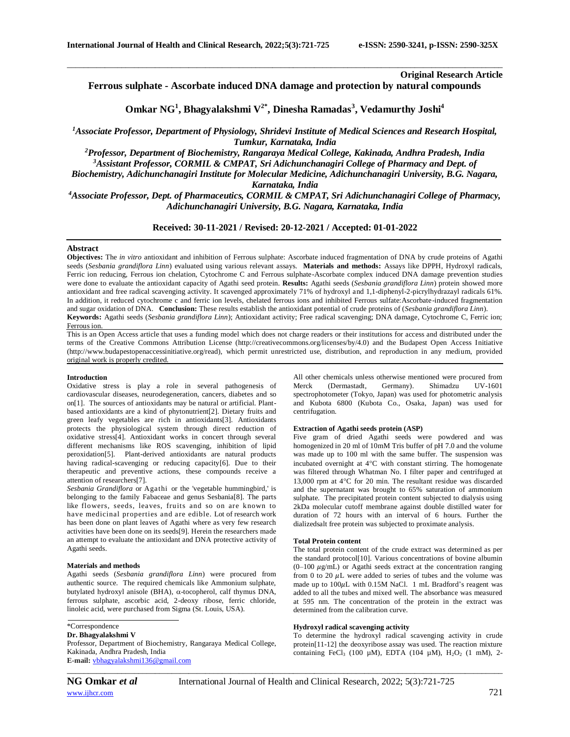**Original Research Article**

**Ferrous sulphate - Ascorbate induced DNA damage and protection by natural compounds** 

\_\_\_\_\_\_\_\_\_\_\_\_\_\_\_\_\_\_\_\_\_\_\_\_\_\_\_\_\_\_\_\_\_\_\_\_\_\_\_\_\_\_\_\_\_\_\_\_\_\_\_\_\_\_\_\_\_\_\_\_\_\_\_\_\_\_\_\_\_\_\_\_\_\_\_\_\_\_\_\_\_\_\_\_\_\_\_\_\_\_\_\_\_\_\_\_\_\_\_\_\_\_\_\_

**Omkar NG<sup>1</sup> , Bhagyalakshmi V2\*, Dinesha Ramadas<sup>3</sup> , Vedamurthy Joshi<sup>4</sup>**

*<sup>1</sup>Associate Professor, Department of Physiology, Shridevi Institute of Medical Sciences and Research Hospital, Tumkur, Karnataka, India*

*<sup>2</sup>Professor, Department of Biochemistry, Rangaraya Medical College, Kakinada, Andhra Pradesh, India <sup>3</sup>Assistant Professor, CORMIL & CMPAT, Sri Adichunchanagiri College of Pharmacy and Dept. of* 

*Biochemistry, Adichunchanagiri Institute for Molecular Medicine, Adichunchanagiri University, B.G. Nagara,* 

*Karnataka, India*

*<sup>4</sup>Associate Professor, Dept. of Pharmaceutics, CORMIL & CMPAT, Sri Adichunchanagiri College of Pharmacy, Adichunchanagiri University, B.G. Nagara, Karnataka, India*

**Received: 30-11-2021 / Revised: 20-12-2021 / Accepted: 01-01-2022**

# **Abstract**

**Objectives:** The *in vitro* antioxidant and inhibition of Ferrous sulphate: Ascorbate induced fragmentation of DNA by crude proteins of Agathi seeds (*Sesbania grandiflora Linn*) evaluated using various relevant assays. **Materials and methods:** Assays like DPPH, Hydroxyl radicals, Ferric ion reducing, Ferrous ion chelation, Cytochrome C and Ferrous sulphate-Ascorbate complex induced DNA damage prevention studies were done to evaluate the antioxidant capacity of Agathi seed protein. **Results:** Agathi seeds (*Sesbania grandiflora Linn*) protein showed more antioxidant and free radical scavenging activity. It scavenged approximately 71% of hydroxyl and 1,1-diphenyl-2-picrylhydrazayl radicals 61%. In addition, it reduced cytochrome c and ferric ion levels, chelated ferrous ions and inhibited Ferrous sulfate:Ascorbate-induced fragmentation and sugar oxidation of DNA. **Conclusion:** These results establish the antioxidant potential of crude proteins of (*Sesbania grandiflora Linn*). **Keywords:** Agathi seeds (*Sesbania grandiflora Linn*); Antioxidant activity; Free radical scavenging; DNA damage, Cytochrome C, Ferric ion; Ferrous ion.

This is an Open Access article that uses a funding model which does not charge readers or their institutions for access and distributed under the terms of the Creative Commons Attribution License (http://creativecommons.org/licenses/by/4.0) and the Budapest Open Access Initiative (http://www.budapestopenaccessinitiative.org/read), which permit unrestricted use, distribution, and reproduction in any medium, provided original work is properly credited.

### **Introduction**

Oxidative stress is play a role in several pathogenesis of cardiovascular diseases, neurodegeneration, cancers, diabetes and so on[1]. The sources of antioxidants may be natural or artificial. Plantbased antioxidants are a kind of phytonutrient[2]. Dietary fruits and green leafy vegetables are rich in antioxidants[3]. Antioxidants protects the physiological system through direct reduction of oxidative stress[4]. Antioxidant works in concert through several different mechanisms like ROS scavenging, inhibition of lipid peroxidation[5]. Plant-derived antioxidants are natural products having radical-scavenging or reducing capacity[6]. Due to their therapeutic and preventive actions, these compounds receive a attention of researchers[7].

*Sesbania Grandiflora* or Agathi or the 'vegetable hummingbird,' is belonging to the family Fabaceae and genus Sesbania[8]. The parts like flowers, seeds, leaves, fruits and so on are known to have medicinal properties and are edible. Lot of research work has been done on plant leaves of Agathi where as very few research activities have been done on its seeds[9]. Herein the researchers made an attempt to evaluate the antioxidant and DNA protective activity of Agathi seeds.

## **Materials and methods**

Agathi seeds (*Sesbania grandiflora Linn*) were procured from authentic source. The required chemicals like Ammonium sulphate, butylated hydroxyl anisole (BHA),  $\alpha$ -tocopherol, calf thymus DNA, ferrous sulphate, ascorbic acid, 2-deoxy ribose, ferric chloride, linoleic acid, were purchased from Sigma (St. Louis, USA).

\*Correspondence

#### **Dr. Bhagyalakshmi V**

Professor, Department of Biochemistry, Rangaraya Medical College, Kakinada, Andhra Pradesh, India **E-mail:** [vbhagyalakshmi136@gmail.com](mailto:vbhagyalakshmi136@gmail.com) 

All other chemicals unless otherwise mentioned were procured from Merck (Dermastadt, Germany). Shimadzu UV-1601 spectrophotometer (Tokyo, Japan) was used for photometric analysis and Kubota 6800 (Kubota Co., Osaka, Japan) was used for centrifugation.

# **Extraction of Agathi seeds protein (ASP)**

Five gram of dried Agathi seeds were powdered and was homogenized in 20 ml of 10mM Tris buffer of pH 7.0 and the volume was made up to 100 ml with the same buffer. The suspension was incubated overnight at  $4^{\circ}$ C with constant stirring. The homogenate was filtered through Whatman No. I filter paper and centrifuged at 13,000 rpm at  $4^{\circ}$ C for 20 min. The resultant residue was discarded and the supernatant was brought to 65% saturation of ammonium sulphate. The precipitated protein content subjected to dialysis using 2kDa molecular cutoff membrane against double distilled water for duration of 72 hours with an interval of 6 hours. Further the dializedsalt free protein was subjected to proximate analysis.

### **Total Protein content**

The total protein content of the crude extract was determined as per the standard protocol[10]. Various concentrations of bovine albumin  $(0-100 \mu g/mL)$  or Agathi seeds extract at the concentration ranging from 0 to 20  $\mu$ . were added to series of tubes and the volume was made up to  $100\mu$ L with 0.15M NaCl. 1 mL Bradford's reagent was added to all the tubes and mixed well. The absorbance was measured at 595 nm. The concentration of the protein in the extract was determined from the calibration curve.

#### **Hydroxyl radical scavenging activity**

To determine the hydroxyl radical scavenging activity in crude protein[11-12] the deoxyribose assay was used. The reaction mixture containing FeCl<sub>3</sub> (100  $\mu$ M), EDTA (104  $\mu$ M), H<sub>2</sub>O<sub>2</sub> (1 mM), 2-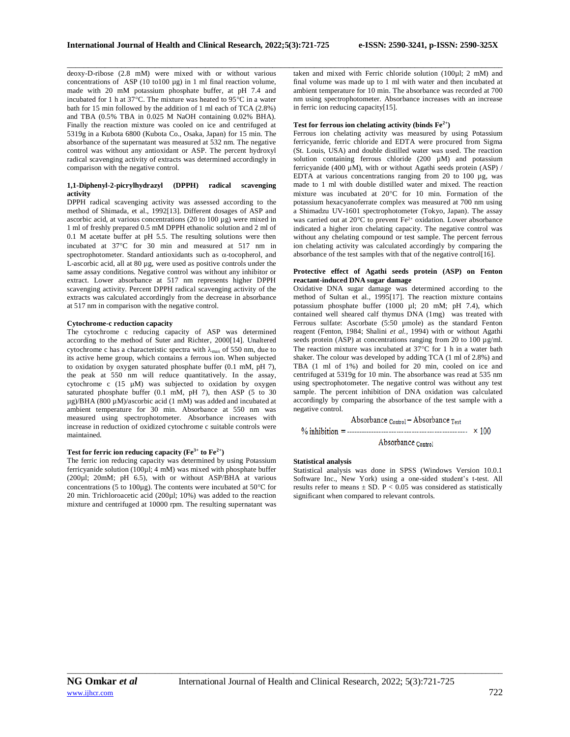\_\_\_\_\_\_\_\_\_\_\_\_\_\_\_\_\_\_\_\_\_\_\_\_\_\_\_\_\_\_\_\_\_\_\_\_\_\_\_\_\_\_\_\_\_\_\_\_\_\_\_\_\_\_\_\_\_\_\_\_\_\_\_\_\_\_\_\_\_\_\_\_\_\_\_\_\_\_\_\_\_\_\_\_\_\_\_\_\_\_\_\_\_\_\_\_\_\_\_\_\_\_\_\_

deoxy-D-ribose (2.8 mM) were mixed with or without various concentrations of ASP (10 to100 µg) in 1 ml final reaction volume, made with 20 mM potassium phosphate buffer, at pH 7.4 and incubated for 1 h at  $37^{\circ}$ C. The mixture was heated to  $95^{\circ}$ C in a water bath for 15 min followed by the addition of 1 ml each of TCA (2.8%) and TBA (0.5% TBA in 0.025 M NaOH containing 0.02% BHA). Finally the reaction mixture was cooled on ice and centrifuged at 5319g in a Kubota 6800 (Kubota Co., Osaka, Japan) for 15 min. The absorbance of the supernatant was measured at 532 nm. The negative control was without any antioxidant or ASP. The percent hydroxyl radical scavenging activity of extracts was determined accordingly in comparison with the negative control.

# **1,1-Diphenyl-2-picrylhydrazyl (DPPH) radical scavenging activity**

DPPH radical scavenging activity was assessed according to the method of Shimada, et al., 1992[13]. Different dosages of ASP and ascorbic acid, at various concentrations (20 to 100 µg) were mixed in 1 ml of freshly prepared 0.5 mM DPPH ethanolic solution and 2 ml of 0.1 M acetate buffer at pH 5.5. The resulting solutions were then incubated at 37°C for 30 min and measured at 517 nm in spectrophotometer. Standard antioxidants such as  $\alpha$ -tocopherol, and L-ascorbic acid, all at 80 µg, were used as positive controls under the same assay conditions. Negative control was without any inhibitor or extract. Lower absorbance at 517 nm represents higher DPPH scavenging activity. Percent DPPH radical scavenging activity of the extracts was calculated accordingly from the decrease in absorbance at 517 nm in comparison with the negative control.

#### **Cytochrome-c reduction capacity**

The cytochrome c reducing capacity of ASP was determined according to the method of Suter and Richter, 2000[14]. Unaltered cytochrome c has a characteristic spectra with  $\lambda_{\text{max}}$  of 550 nm, due to its active heme group, which contains a ferrous ion. When subjected to oxidation by oxygen saturated phosphate buffer (0.1 mM, pH 7), the peak at 550 nm will reduce quantitatively. In the assay, cytochrome c (15 µM) was subjected to oxidation by oxygen saturated phosphate buffer (0.1 mM, pH 7), then ASP (5 to 30 µg)/BHA (800 µM)/ascorbic acid (1 mM) was added and incubated at ambient temperature for 30 min. Absorbance at 550 nm was measured using spectrophotometer. Absorbance increases with increase in reduction of oxidized cytochrome c suitable controls were maintained.

#### **Test for ferric ion reducing capacity (Fe<sup>3+</sup> to Fe<sup>2+</sup>)**

The ferric ion reducing capacity was determined by using Potassium ferricyanide solution (100µl; 4 mM) was mixed with phosphate buffer (200µl; 20mM; pH 6.5), with or without ASP/BHA at various concentrations (5 to 100µg). The contents were incubated at 50 $^{\circ}$ C for 20 min. Trichloroacetic acid (200µl; 10%) was added to the reaction mixture and centrifuged at 10000 rpm. The resulting supernatant was taken and mixed with Ferric chloride solution (100µl; 2 mM) and final volume was made up to 1 ml with water and then incubated at ambient temperature for 10 min. The absorbance was recorded at 700 nm using spectrophotometer. Absorbance increases with an increase in ferric ion reducing capacity[15].

## **Test for ferrous ion chelating activity (binds Fe2+)**

Ferrous ion chelating activity was measured by using Potassium ferricyanide, ferric chloride and EDTA were procured from Sigma (St. Louis, USA) and double distilled water was used. The reaction solution containing ferrous chloride (200  $\mu$ M) and potassium ferricyanide (400 µM), with or without Agathi seeds protein (ASP) / EDTA at various concentrations ranging from 20 to 100 µg, was made to 1 ml with double distilled water and mixed. The reaction mixture was incubated at 20°C for 10 min. Formation of the potassium hexacyanoferrate complex was measured at 700 nm using a Shimadzu UV-1601 spectrophotometer (Tokyo, Japan). The assay was carried out at 20 $^{\circ}$ C to prevent Fe<sup>2+</sup> oxidation. Lower absorbance indicated a higher iron chelating capacity. The negative control was without any chelating compound or test sample. The percent ferrous ion chelating activity was calculated accordingly by comparing the absorbance of the test samples with that of the negative control[16].

### **Protective effect of Agathi seeds protein (ASP) on Fenton reactant-induced DNA sugar damage**

Oxidative DNA sugar damage was determined according to the method of Sultan et al., 1995[17]. The reaction mixture contains potassium phosphate buffer (1000 µl; 20 mM; pH 7.4), which contained well sheared calf thymus DNA (1mg) was treated with Ferrous sulfate: Ascorbate (5:50 µmole) as the standard Fenton reagent (Fenton, 1984; Shalini *et al.,* 1994) with or without Agathi seeds protein (ASP) at concentrations ranging from 20 to 100 µg/ml. The reaction mixture was incubated at  $37^{\circ}$ C for 1 h in a water bath shaker. The colour was developed by adding TCA (1 ml of 2.8%) and TBA (1 ml of 1%) and boiled for 20 min, cooled on ice and centrifuged at 5319g for 10 min. The absorbance was read at 535 nm using spectrophotometer. The negative control was without any test sample. The percent inhibition of DNA oxidation was calculated accordingly by comparing the absorbance of the test sample with a negative control.

$$
\text{Absorbance}_{\text{Control}} - \text{Absorbance}_{\text{Test}} \times 100
$$
\n
$$
\% \text{inhibition} = \text{........}
$$
\n
$$
\text{Absorbance}_{\text{Control}}
$$
\n
$$
\times 100
$$

## **Statistical analysis**

Statistical analysis was done in SPSS (Windows Version 10.0.1 Software Inc., New York) using a one-sided student's t-test. All results refer to means  $\pm$  SD. P < 0.05 was considered as statistically significant when compared to relevant controls.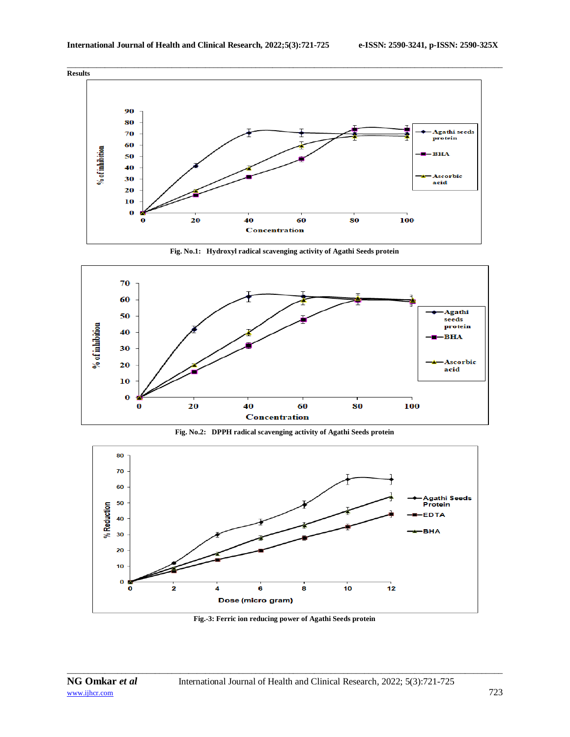





**Fig. No.2: DPPH radical scavenging activity of Agathi Seeds protein**



**Fig.-3: Ferric ion reducing power of Agathi Seeds protein**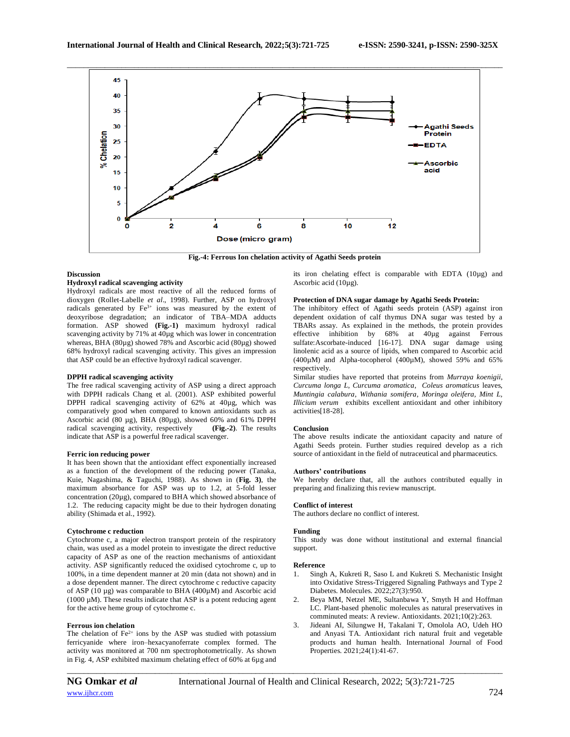

**Fig.-4: Ferrous Ion chelation activity of Agathi Seeds protein**

## **Discussion**

# **Hydroxyl radical scavenging activity**

Hydroxyl radicals are most reactive of all the reduced forms of dioxygen (Rollet-Labelle *et al*., 1998). Further, ASP on hydroxyl radicals generated by  $Fe^{3+}$  ions was measured by the extent of deoxyribose degradation; an indicator of TBA–MDA adducts formation. ASP showed **(Fig.-1)** maximum hydroxyl radical scavenging activity by 71% at 40µg which was lower in concentration whereas, BHA (80µg) showed 78% and Ascorbic acid (80µg) showed 68% hydroxyl radical scavenging activity. This gives an impression that ASP could be an effective hydroxyl radical scavenger.

## **DPPH radical scavenging activity**

The free radical scavenging activity of ASP using a direct approach with DPPH radicals Chang et al. (2001). ASP exhibited powerful DPPH radical scavenging activity of 62% at 40µg, which was comparatively good when compared to known antioxidants such as Ascorbic acid (80  $\mu$ g), BHA (80 $\mu$ g), showed 60% and 61% DPPH radical scavenging activity, respectively (Fig.-2). The results radical scavenging activity, respectively indicate that ASP is a powerful free radical scavenger.

## **Ferric ion reducing power**

It has been shown that the antioxidant effect exponentially increased as a function of the development of the reducing power (Tanaka, Kuie, Nagashima, & Taguchi, 1988). As shown in (**Fig. 3)**, the maximum absorbance for ASP was up to 1.2, at 5-fold lesser concentration (20µg), compared to BHA which showed absorbance of 1.2. The reducing capacity might be due to their hydrogen donating ability (Shimada et al., 1992).

#### **Cytochrome c reduction**

Cytochrome c, a major electron transport protein of the respiratory chain, was used as a model protein to investigate the direct reductive capacity of ASP as one of the reaction mechanisms of antioxidant activity. ASP significantly reduced the oxidised cytochrome c, up to 100%, in a time dependent manner at 20 min (data not shown) and in a dose dependent manner. The direct cytochrome c reductive capacity of ASP (10 µg) was comparable to BHA (400µM) and Ascorbic acid (1000  $\mu$ M). These results indicate that ASP is a potent reducing agent for the active heme group of cytochrome c.

#### **Ferrous ion chelation**

The chelation of  $Fe^{2+}$  ions by the ASP was studied with potassium ferricyanide where iron–hexacyanoferrate complex formed. The activity was monitored at 700 nm spectrophotometrically. As shown in Fig. 4, ASP exhibited maximum chelating effect of 60% at 6µg and

*\_\_\_\_\_\_\_\_\_\_\_\_\_\_\_\_\_\_\_\_\_\_\_\_\_\_\_\_\_\_\_\_\_\_\_\_\_\_\_\_\_\_\_\_\_\_\_\_\_\_\_\_\_\_\_\_\_\_\_\_\_\_\_\_\_\_\_\_\_\_\_\_\_\_\_\_\_\_\_\_\_\_\_\_\_\_\_\_\_\_\_\_\_\_\_\_\_\_\_\_\_\_\_\_*

its iron chelating effect is comparable with EDTA (10µg) and Ascorbic acid  $(10\mu g)$ .

#### **Protection of DNA sugar damage by Agathi Seeds Protein:**

The inhibitory effect of Agathi seeds protein (ASP) against iron dependent oxidation of calf thymus DNA sugar was tested by a TBARs assay. As explained in the methods, the protein provides effective inhibition by 68% at 40µg against Ferrous sulfate:Ascorbate-induced [16-17]. DNA sugar damage using linolenic acid as a source of lipids, when compared to Ascorbic acid (400µM) and Alpha-tocopherol (400µM), showed 59% and 65% respectively.

Similar studies have reported that proteins from *Murraya koenigii, Curcuma longa L, Curcuma aromatica*, *Coleus aromaticus* leaves, *Muntingia calabura*, *Withania somifera, Moringa oleifera, Mint L, Illicium verum* exhibits excellent antioxidant and other inhibitory activities[18-28].

## **Conclusion**

The above results indicate the antioxidant capacity and nature of Agathi Seeds protein. Further studies required develop as a rich source of antioxidant in the field of nutraceutical and pharmaceutics.

### **Authors' contributions**

We hereby declare that, all the authors contributed equally in preparing and finalizing this review manuscript.

#### **Conflict of interest**

The authors declare no conflict of interest.

#### **Funding**

This study was done without institutional and external financial support.

#### **Reference**

- 1. Singh A, Kukreti R, Saso L and Kukreti S. Mechanistic Insight into Oxidative Stress-Triggered Signaling Pathways and Type 2 Diabetes. Molecules. 2022;27(3):950.
- 2. Beya MM, Netzel ME, Sultanbawa Y, Smyth H and Hoffman LC. Plant-based phenolic molecules as natural preservatives in comminuted meats: A review. Antioxidants. 2021;10(2):263.
- 3. Jideani AI, Silungwe H, Takalani T, Omolola AO, Udeh HO and Anyasi TA. Antioxidant rich natural fruit and vegetable products and human health. International Journal of Food Properties. 2021;24(1):41-67.